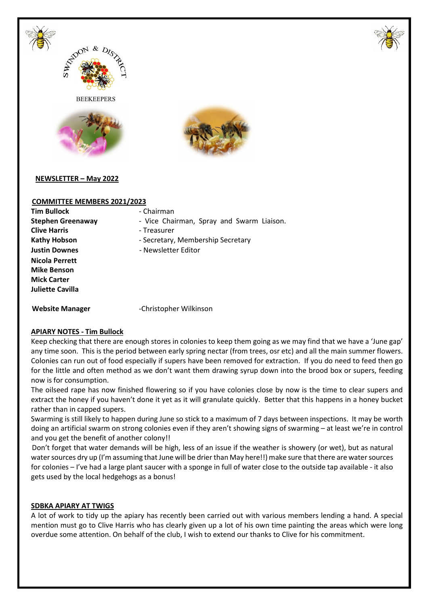



**BEEKEEPERS** 





**NEWSLETTER – May 2022** 

# **COMMITTEE MEMBERS 2021/2023**

**Tim Bullock** - Chairman **Clive Harris Clive Harris Clive Harris Figure 1 Nicola Perrett Mike Benson Mick Carter Juliette Cavilla** 

- **Stephen Greenaway** Vice Chairman, Spray and Swarm Liaison.
	-
- Kathy Hobson **Example 28 Federal Federal Secretary**, Membership Secretary
- **Justin Downes** Newsletter Editor

Website Manager **Christopher Wilkinson** 

# **APIARY NOTES - Tim Bullock**

Keep checking that there are enough stores in colonies to keep them going as we may find that we have a 'June gap' any time soon. This is the period between early spring nectar (from trees, osr etc) and all the main summer flowers. Colonies can run out of food especially if supers have been removed for extraction. If you do need to feed then go for the little and often method as we don't want them drawing syrup down into the brood box or supers, feeding now is for consumption.

The oilseed rape has now finished flowering so if you have colonies close by now is the time to clear supers and extract the honey if you haven't done it yet as it will granulate quickly. Better that this happens in a honey bucket rather than in capped supers.

Swarming is still likely to happen during June so stick to a maximum of 7 days between inspections. It may be worth doing an artificial swarm on strong colonies even if they aren't showing signs of swarming – at least we're in control and you get the benefit of another colony!!

Don't forget that water demands will be high, less of an issue if the weather is showery (or wet), but as natural water sources dry up (I'm assuming that June will be drier than May here!!) make sure that there are water sources for colonies – I've had a large plant saucer with a sponge in full of water close to the outside tap available - it also gets used by the local hedgehogs as a bonus!

# **SDBKA APIARY AT TWIGS**

A lot of work to tidy up the apiary has recently been carried out with various members lending a hand. A special mention must go to Clive Harris who has clearly given up a lot of his own time painting the areas which were long overdue some attention. On behalf of the club, I wish to extend our thanks to Clive for his commitment.